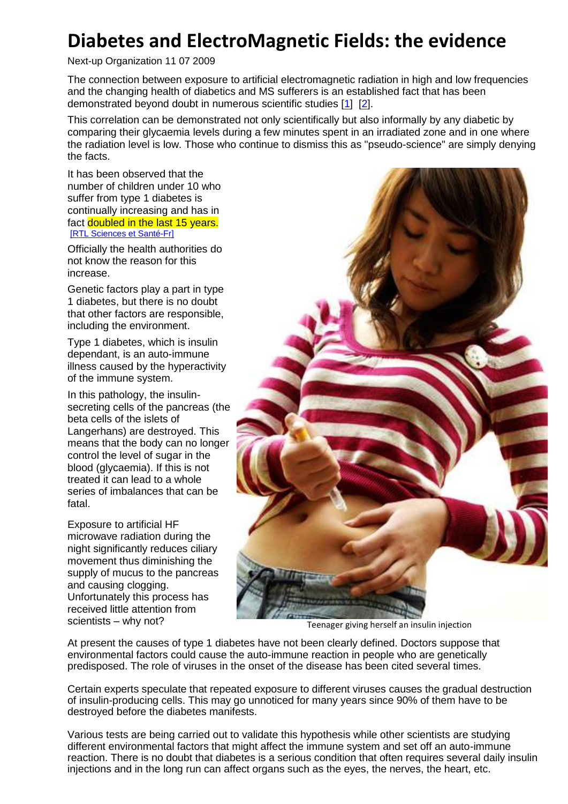## **Diabetes and ElectroMagnetic Fields: the evidence**

Next-up Organization 11 07 2009

The connection between exposure to artificial electromagnetic radiation in high and low frequencies and the changing health of diabetics and MS sufferers is an established fact that has been demonstrated beyond doubt in numerous scientific studies [\[1\]](http://www.next-up.org/pdf/Bioelectromagnetics_EMF_Low_Freq_Insulin_Secretion_Tomonori_Sakurai.pdf) [\[2\]](http://www.biomedexperts.com/Abstract.bme/17929267/Exposure_to_extremely_low_frequency_magnetic_fields_affects_insulin-secreting_cells).

This correlation can be demonstrated not only scientifically but also informally by any diabetic by comparing their glycaemia levels during a few minutes spent in an irradiated zone and in one where the radiation level is low. Those who continue to dismiss this as "pseudo-science" are simply denying the facts.

It has been observed that the number of children under 10 who suffer from type 1 diabetes is continually increasing and has in fact doubled in the last 15 years. [\[RTL Sciences et Santé-Fr\]](http://www.rtlinfo.be/rtl/archive/article/42806?&archiveYear=2007)

Officially the health authorities do not know the reason for this increase.

Genetic factors play a part in type 1 diabetes, but there is no doubt that other factors are responsible, including the environment.

Type 1 diabetes, which is insulin dependant, is an auto-immune illness caused by the hyperactivity of the immune system.

In this pathology, the insulinsecreting cells of the pancreas (the beta cells of the islets of Langerhans) are destroyed. This means that the body can no longer control the level of sugar in the blood (glycaemia). If this is not treated it can lead to a whole series of imbalances that can be fatal.

Exposure to artificial HF microwave radiation during the night significantly reduces ciliary movement thus diminishing the supply of mucus to the pancreas and causing clogging. Unfortunately this process has received little attention from scientists – why not?<br>Teenager giving herself an insulin injection



At present the causes of type 1 diabetes have not been clearly defined. Doctors suppose that environmental factors could cause the auto-immune reaction in people who are genetically predisposed. The role of viruses in the onset of the disease has been cited several times.

Certain experts speculate that repeated exposure to different viruses causes the gradual destruction of insulin-producing cells. This may go unnoticed for many years since 90% of them have to be destroyed before the diabetes manifests.

Various tests are being carried out to validate this hypothesis while other scientists are studying different environmental factors that might affect the immune system and set off an auto-immune reaction. There is no doubt that diabetes is a serious condition that often requires several daily insulin injections and in the long run can affect organs such as the eyes, the nerves, the heart, etc.